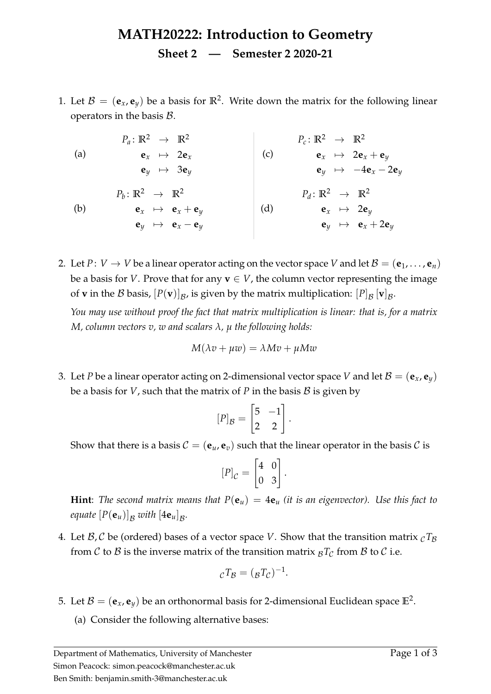## **MATH20222: Introduction to Geometry Sheet 2 — Semester 2 2020-21**

<span id="page-0-2"></span>1. Let  $B = (\mathbf{e}_x, \mathbf{e}_y)$  be a basis for  $\mathbb{R}^2$ . Write down the matrix for the following linear operators in the basis  $B$ .

<span id="page-0-1"></span><span id="page-0-0"></span>

| $P_a: \mathbb{R}^2 \rightarrow \mathbb{R}^2$                                    | $P_c: \mathbb{R}^2 \rightarrow \mathbb{R}^2$           |                                              |                                                         |
|---------------------------------------------------------------------------------|--------------------------------------------------------|----------------------------------------------|---------------------------------------------------------|
| (a)                                                                             | $\mathbf{e}_x \rightarrow 2\mathbf{e}_x$               | (c)                                          | $\mathbf{e}_x \rightarrow 2\mathbf{e}_x + \mathbf{e}_y$ |
| $\mathbf{e}_y \rightarrow 3\mathbf{e}_y$                                        | (d)                                                    | $P_d: \mathbb{R}^2 \rightarrow \mathbb{R}^2$ |                                                         |
| (b)                                                                             | $\mathbf{e}_x \rightarrow \mathbf{e}_x + \mathbf{e}_y$ | (d)                                          | $\mathbf{e}_x \rightarrow 2\mathbf{e}_y$                |
| $\mathbf{e}_y \rightarrow \mathbf{e}_x \rightarrow \mathbf{e}_x + \mathbf{e}_y$ | (d)                                                    | $\mathbf{e}_x \rightarrow 2\mathbf{e}_y$     |                                                         |
| $\mathbf{e}_y \rightarrow \mathbf{e}_x - \mathbf{e}_y$                          | (e)                                                    | $\mathbf{e}_x \rightarrow 2\mathbf{e}_y$     |                                                         |

2. Let  $P: V \to V$  be a linear operator acting on the vector space V and let  $\mathcal{B} = (\mathbf{e}_1, \dots, \mathbf{e}_n)$ be a basis for *V*. Prove that for any  $\mathbf{v} \in V$ , the column vector representing the image of **v** in the  $\mathcal B$  basis,  $[P(\mathbf v)]_{\mathcal B}$ , is given by the matrix multiplication:  $[P]_{\mathcal B}$   $[\mathbf v]_{\mathcal B}$ .

*You may use without proof the fact that matrix multiplication is linear: that is, for a matrix M, column vectors v, w and scalars λ, µ the following holds:*

$$
M(\lambda v + \mu w) = \lambda Mv + \mu Mw
$$

3. Let *P* be a linear operator acting on 2-dimensional vector space *V* and let  $\mathcal{B} = (\mathbf{e}_x, \mathbf{e}_y)$ be a basis for *V*, such that the matrix of *P* in the basis  $B$  is given by

$$
[P]_{\mathcal{B}} = \begin{bmatrix} 5 & -1 \\ 2 & 2 \end{bmatrix}.
$$

Show that there is a basis  $C = (\mathbf{e}_u, \mathbf{e}_v)$  such that the linear operator in the basis C is

$$
[P]_{\mathcal{C}} = \begin{bmatrix} 4 & 0 \\ 0 & 3 \end{bmatrix}.
$$

**Hint**: *The second matrix means that*  $P(\mathbf{e}_u) = 4\mathbf{e}_u$  *(it is an eigenvector).* Use this fact to *equate*  $[P(\mathbf{e}_u)]_{\mathcal{B}}$  with  $[4\mathbf{e}_u]_{\mathcal{B}}$ .

4. Let  $\mathcal{B}, \mathcal{C}$  be (ordered) bases of a vector space *V*. Show that the transition matrix  $_{\mathcal{C}}T_{\mathcal{B}}$ from C to B is the inverse matrix of the transition matrix  $B<sub>C</sub>$  from B to C i.e.

$$
{}_{\mathcal{C}}T_{\mathcal{B}} = (\mathcal{B}T_{\mathcal{C}})^{-1}.
$$

- 5. Let  $\mathcal{B} = (\mathbf{e}_x, \mathbf{e}_y)$  be an orthonormal basis for 2-dimensional Euclidean space  $\mathbb{E}^2$ .
	- (a) Consider the following alternative bases: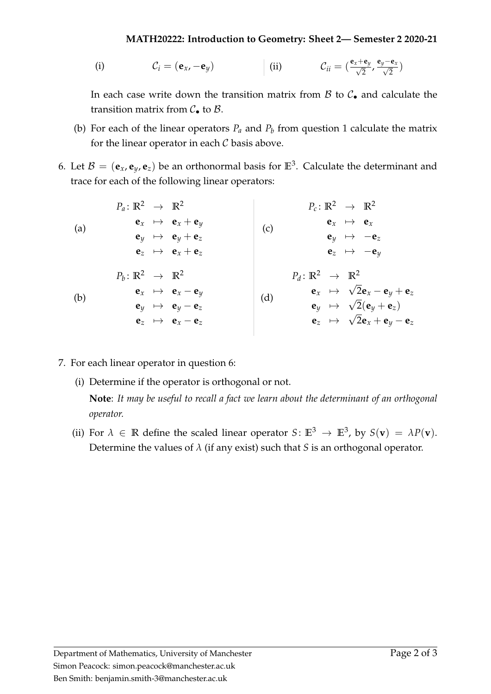## **MATH20222: Introduction to Geometry: Sheet 2— Semester 2 2020-21**

(i) 
$$
C_i = (\mathbf{e}_x, -\mathbf{e}_y)
$$
 (ii)  $C_{ii} = (\frac{\mathbf{e}_x + \mathbf{e}_y}{\sqrt{2}}, \frac{\mathbf{e}_y - \mathbf{e}_x}{\sqrt{2}})$ 

In each case write down the transition matrix from  $\beta$  to  $\mathcal{C}_{\bullet}$  and calculate the transition matrix from  $C_{\bullet}$  to  $B$ .

- (b) For e[a](#page-0-0)ch of the linear operators  $P_a$  and  $P_b$  $P_b$  from question [1](#page-0-2) calculate the matrix for the linear operator in each  $C$  basis above.
- <span id="page-1-0"></span>6. Let  $B = (\mathbf{e}_x, \mathbf{e}_y, \mathbf{e}_z)$  be an orthonormal basis for  $\mathbb{E}^3$ . Calculate the determinant and trace for each of the following linear operators:

| \n $P_a: \mathbb{R}^2 \rightarrow \mathbb{R}^2$ \n | \n $P_c: \mathbb{R}^2 \rightarrow \mathbb{R}^2$ \n |
|----------------------------------------------------|----------------------------------------------------|
| \n $e_x \rightarrow e_x + e_y$ \n                  | \n $e_y \rightarrow e_y + e_z$ \n                  |
| \n $e_z \rightarrow e_x + e_z$ \n                  | \n $e_z \rightarrow \mathbb{R}^2$ \n               |
| \n $P_b: \mathbb{R}^2 \rightarrow \mathbb{R}^2$ \n | \n $P_d: \mathbb{R}^2 \rightarrow \mathbb{R}^2$ \n |
| \n $P_b: \mathbb{R}^2 \rightarrow \mathbb{R}^2$ \n | \n $P_d: \mathbb{R}^2 \rightarrow \mathbb{R}^2$ \n |
| \n $e_x \rightarrow e_x - e_y$ \n                  | \n $e_y \rightarrow \sqrt{2}e_x - e_y + e_z$ \n    |
| \n $e_y \rightarrow e_y - e_z$ \n                  | \n $e_y \rightarrow \sqrt{2}(e_y + e_z)$ \n        |
| \n $e_z \rightarrow \sqrt{2}e_x + e_y - e_z$ \n    |                                                    |

- 7. For each linear operator in question [6:](#page-1-0)
	- (i) Determine if the operator is orthogonal or not.

**Note**: *It may be useful to recall a fact we learn about the determinant of an orthogonal operator.*

(ii) For  $\lambda \in \mathbb{R}$  define the scaled linear operator  $S: \mathbb{E}^3 \to \mathbb{E}^3$ , by  $S(\mathbf{v}) = \lambda P(\mathbf{v})$ . Determine the values of  $\lambda$  (if any exist) such that *S* is an orthogonal operator.